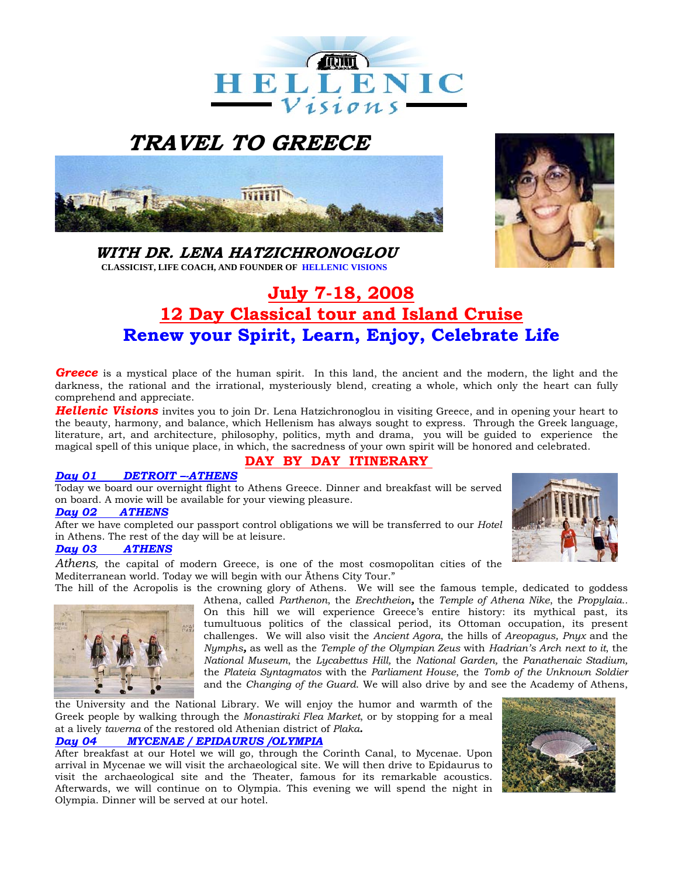

# **TRAVEL TO GREECE**





 **WITH DR. LENA HATZICHRONOGLOU****CLASSICIST, LIFE COACH, AND FOUNDER OF HELLENIC VISIONS** 

# **July 7-18, 2008 12 Day Classical tour and Island Cruise Renew your Spirit, Learn, Enjoy, Celebrate Life**

*Greece* is a mystical place of the human spirit. In this land, the ancient and the modern, the light and the darkness, the rational and the irrational, mysteriously blend, creating a whole, which only the heart can fully comprehend and appreciate.

*Hellenic Visions* invites you to join Dr. Lena Hatzichronoglou in visiting Greece, and in opening your heart to the beauty, harmony, and balance, which Hellenism has always sought to express. Through the Greek language, literature, art, and architecture, philosophy, politics, myth and drama, you will be guided to experience the magical spell of this unique place, in which, the sacredness of your own spirit will be honored and celebrated.

**DAY BY DAY ITINERARY** 

#### *Day 01 DETROIT –-ATHENS*

Today we board our overnight flight to Athens Greece. Dinner and breakfast will be served on board. A movie will be available for your viewing pleasure.

#### *Day 02 ATHENS*

After we have completed our passport control obligations we will be transferred to our *Hotel* in Athens. The rest of the day will be at leisure.

## *Day 03 ATHENS*

*Athens,* the capital of modern Greece, is one of the most cosmopolitan cities of the Mediterranean world. Today we will begin with our Äthens City Tour."



The hill of the Acropolis is the crowning glory of Athens. We will see the famous temple, dedicated to goddess Athena, called *Parthenon*, the *Erechtheion,* the *Temple of Athena Nike*, the *Propylaia..* On this hill we will experience Greece's entire history: its mythical past, its tumultuous politics of the classical period, its Ottoman occupation, its present challenges. We will also visit the *Ancient Agora*, the hills of *Areopagus, Pnyx* and the *Nymphs,* as well as the *Temple of the Olympian Zeus* with *Hadrian's Arch next to it*, the *National Museum*, the *Lycabettus Hill,* the *National Garden,* the *Panathenaic Stadium,* the *Plateia Syntagmatos* with the *Parliament House*, the *Tomb of the Unknown Soldier* and the *Changing of the Guard*. We will also drive by and see the Academy of Athens,

the University and the National Library. We will enjoy the humor and warmth of the Greek people by walking through the *Monastiraki Flea Market*, or by stopping for a meal at a lively *taverna* of the restored old Athenian district of *Plaka.* 

#### *Day 04 MYCENAE / EPIDAURUS /OLYMPIA*

After breakfast at our Hotel we will go, through the Corinth Canal, to Mycenae. Upon arrival in Mycenae we will visit the archaeological site. We will then drive to Epidaurus to visit the archaeological site and the Theater, famous for its remarkable acoustics. Afterwards, we will continue on to Olympia. This evening we will spend the night in Olympia. Dinner will be served at our hotel.